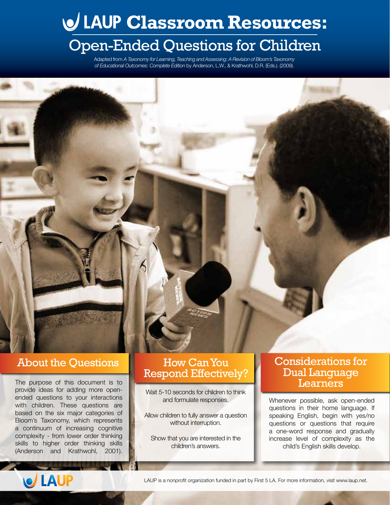# **Classroom Resources:**

## Open-Ended Questions for Children

Adapted from *A Taxonomy for Learning, Teaching and Assessing: A Revision of Bloom's Taxonomy of Educational Outcomes: Complete Edition* by Anderson, L.W., & Krathwohl, D.R. (Eds.). (2009).

#### About the Questions

The purpose of this document is to provide ideas for adding more openended questions to your interactions with children. These questions are based on the six major categories of Bloom's Taxonomy, which represents a continuum of increasing cognitive complexity - from lower order thinking skills to higher order thinking skills (Anderson and Krathwohl, 2001).

#### How Can You Respond Effectively?

Wait 5-10 seconds for children to think and formulate responses.

Allow children to fully answer a question without interruption.

Show that you are interested in the children's answers.

#### Considerations for Dual Language **Learners**

Whenever possible, ask open-ended questions in their home language. If speaking English, begin with yes/no questions or questions that require a one-word response and gradually increase level of complexity as the child's English skills develop.



LAUP is a nonprofit organization funded in part by First 5 LA. For more information, visit www.laup.net.